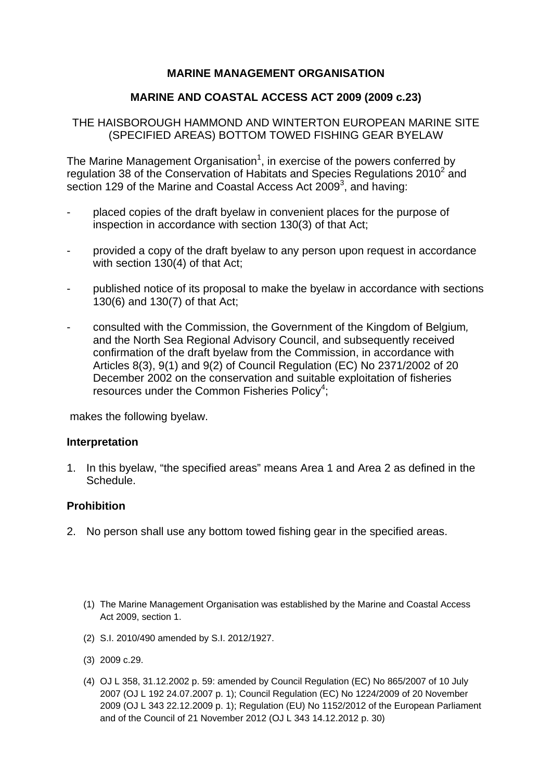# **MARINE MANAGEMENT ORGANISATION**

### **MARINE AND COASTAL ACCESS ACT 2009 (2009 c.23)**

### THE HAISBOROUGH HAMMOND AND WINTERTON EUROPEAN MARINE SITE (SPECIFIED AREAS) BOTTOM TOWED FISHING GEAR BYELAW

The Marine Management Organisation<sup>1</sup>, in exercise of the powers conferred by regulation 38 of the Conservation of Habitats and Species Regulations 2010 $^2$  and section 129 of the Marine and Coastal Access Act 2009<sup>3</sup>, and having:

- placed copies of the draft byelaw in convenient places for the purpose of inspection in accordance with section 130(3) of that Act;
- provided a copy of the draft byelaw to any person upon request in accordance with section 130(4) of that Act;
- published notice of its proposal to make the byelaw in accordance with sections 130(6) and 130(7) of that Act;
- consulted with the Commission, the Government of the Kingdom of Belgium*,*  and the North Sea Regional Advisory Council, and subsequently received confirmation of the draft byelaw from the Commission, in accordance with Articles 8(3), 9(1) and 9(2) of Council Regulation (EC) No 2371/2002 of 20 December 2002 on the conservation and suitable exploitation of fisheries resources under the Common Fisheries Policy<sup>4</sup>;

makes the following byelaw.

#### **Interpretation**

1. In this byelaw, "the specified areas" means Area 1 and Area 2 as defined in the Schedule.

### **Prohibition**

- 2. No person shall use any bottom towed fishing gear in the specified areas.
	- (1) The Marine Management Organisation was established by the Marine and Coastal Access Act 2009, section 1.
	- (2) S.I. 2010/490 amended by S.I. 2012/1927.
	- (3) 2009 c.29.
	- (4) OJ L 358, 31.12.2002 p. 59: amended by Council Regulation (EC) No 865/2007 of 10 July 2007 (OJ L 192 24.07.2007 p. 1); Council Regulation (EC) No 1224/2009 of 20 November 2009 (OJ L 343 22.12.2009 p. 1); Regulation (EU) No 1152/2012 of the European Parliament and of the Council of 21 November 2012 (OJ L 343 14.12.2012 p. 30)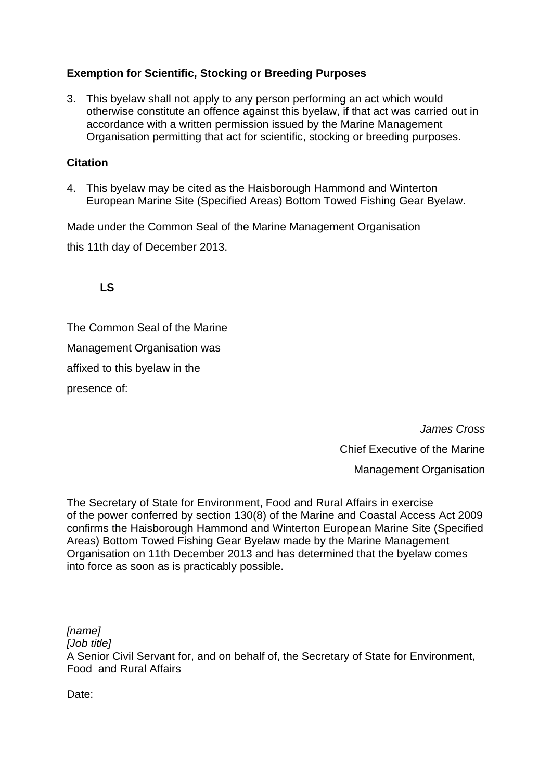# **Exemption for Scientific, Stocking or Breeding Purposes**

3. This byelaw shall not apply to any person performing an act which would otherwise constitute an offence against this byelaw, if that act was carried out in accordance with a written permission issued by the Marine Management Organisation permitting that act for scientific, stocking or breeding purposes.

# **Citation**

4. This byelaw may be cited as the Haisborough Hammond and Winterton European Marine Site (Specified Areas) Bottom Towed Fishing Gear Byelaw.

Made under the Common Seal of the Marine Management Organisation

this 11th day of December 2013.

**LS** 

The Common Seal of the Marine Management Organisation was affixed to this byelaw in the presence of:

> *James Cross*  Chief Executive of the Marine Management Organisation

The Secretary of State for Environment, Food and Rural Affairs in exercise of the power conferred by section 130(8) of the Marine and Coastal Access Act 2009 confirms the Haisborough Hammond and Winterton European Marine Site (Specified Areas) Bottom Towed Fishing Gear Byelaw made by the Marine Management Organisation on 11th December 2013 and has determined that the byelaw comes into force as soon as is practicably possible.

*[name] [Job title]*  A Senior Civil Servant for, and on behalf of, the Secretary of State for Environment, Food and Rural Affairs

Date: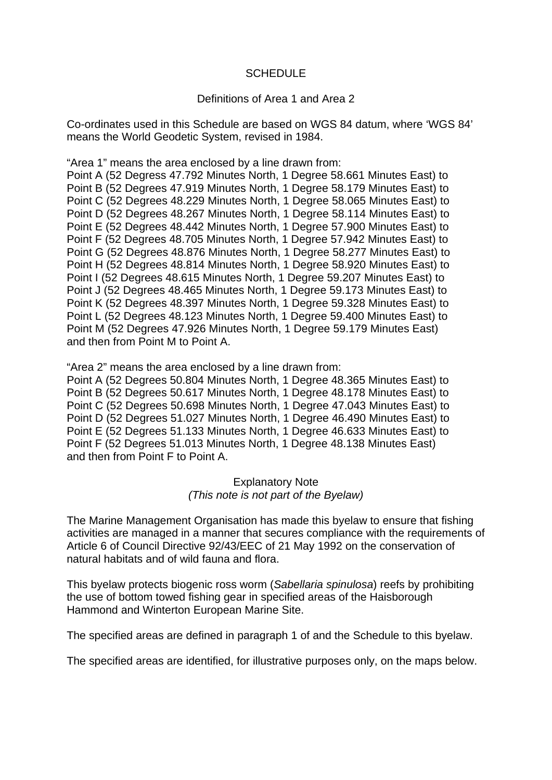#### **SCHEDULE**

#### Definitions of Area 1 and Area 2

Co-ordinates used in this Schedule are based on WGS 84 datum, where 'WGS 84' means the World Geodetic System, revised in 1984.

"Area 1" means the area enclosed by a line drawn from:

Point A (52 Degress 47.792 Minutes North, 1 Degree 58.661 Minutes East) to Point B (52 Degrees 47.919 Minutes North, 1 Degree 58.179 Minutes East) to Point C (52 Degrees 48.229 Minutes North, 1 Degree 58.065 Minutes East) to Point D (52 Degrees 48.267 Minutes North, 1 Degree 58.114 Minutes East) to Point E (52 Degrees 48.442 Minutes North, 1 Degree 57.900 Minutes East) to Point F (52 Degrees 48.705 Minutes North, 1 Degree 57.942 Minutes East) to Point G (52 Degrees 48.876 Minutes North, 1 Degree 58.277 Minutes East) to Point H (52 Degrees 48.814 Minutes North, 1 Degree 58.920 Minutes East) to Point I (52 Degrees 48.615 Minutes North, 1 Degree 59.207 Minutes East) to Point J (52 Degrees 48.465 Minutes North, 1 Degree 59.173 Minutes East) to Point K (52 Degrees 48.397 Minutes North, 1 Degree 59.328 Minutes East) to Point L (52 Degrees 48.123 Minutes North, 1 Degree 59.400 Minutes East) to Point M (52 Degrees 47.926 Minutes North, 1 Degree 59.179 Minutes East) and then from Point M to Point A.

"Area 2" means the area enclosed by a line drawn from:

Point A (52 Degrees 50.804 Minutes North, 1 Degree 48.365 Minutes East) to Point B (52 Degrees 50.617 Minutes North, 1 Degree 48.178 Minutes East) to Point C (52 Degrees 50.698 Minutes North, 1 Degree 47.043 Minutes East) to Point D (52 Degrees 51.027 Minutes North, 1 Degree 46.490 Minutes East) to Point E (52 Degrees 51.133 Minutes North, 1 Degree 46.633 Minutes East) to Point F (52 Degrees 51.013 Minutes North, 1 Degree 48.138 Minutes East) and then from Point F to Point A.

> Explanatory Note *(This note is not part of the Byelaw)*

The Marine Management Organisation has made this byelaw to ensure that fishing activities are managed in a manner that secures compliance with the requirements of Article 6 of Council Directive 92/43/EEC of 21 May 1992 on the conservation of natural habitats and of wild fauna and flora.

This byelaw protects biogenic ross worm (*Sabellaria spinulosa*) reefs by prohibiting the use of bottom towed fishing gear in specified areas of the Haisborough Hammond and Winterton European Marine Site.

The specified areas are defined in paragraph 1 of and the Schedule to this byelaw.

The specified areas are identified, for illustrative purposes only, on the maps below.